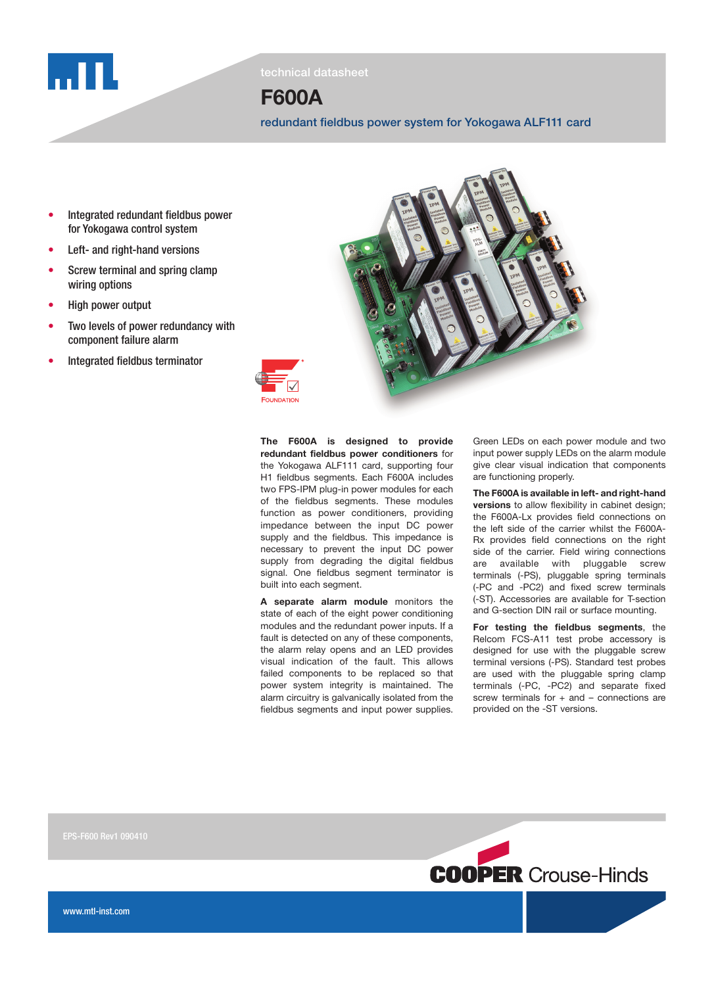

technical datasheet

# F600A

redundant fieldbus power system for Yokogawa ALF111 card

- Integrated redundant fieldbus power for Yokogawa control system
- Left- and right-hand versions
- Screw terminal and spring clamp wiring options
- **High power output**
- Two levels of power redundancy with component failure alarm
- Integrated fieldbus terminator



The F600A is designed to provide redundant fieldbus power conditioners for the Yokogawa ALF111 card, supporting four H1 fieldbus segments. Each F600A includes two FPS-IPM plug-in power modules for each of the fieldbus segments. These modules function as power conditioners, providing impedance between the input DC power supply and the fieldbus. This impedance is necessary to prevent the input DC power supply from degrading the digital fieldbus signal. One fieldbus segment terminator is built into each segment.

A separate alarm module monitors the state of each of the eight power conditioning modules and the redundant power inputs. If a fault is detected on any of these components, the alarm relay opens and an LED provides visual indication of the fault. This allows failed components to be replaced so that power system integrity is maintained. The alarm circuitry is galvanically isolated from the fieldbus segments and input power supplies.

Green LEDs on each power module and two input power supply LEDs on the alarm module give clear visual indication that components are functioning properly.

The F600A is available in left- and right-hand versions to allow flexibility in cabinet design; the F600A-Lx provides field connections on the left side of the carrier whilst the F600A-Rx provides field connections on the right side of the carrier. Field wiring connections are available with pluggable screw terminals (-PS), pluggable spring terminals (-PC and -PC2) and fixed screw terminals (-ST). Accessories are available for T-section and G-section DIN rail or surface mounting.

For testing the fieldbus segments, the Relcom FCS-A11 test probe accessory is designed for use with the pluggable screw terminal versions (-PS). Standard test probes are used with the pluggable spring clamp terminals (-PC, -PC2) and separate fixed screw terminals for  $+$  and  $-$  connections are provided on the -ST versions.



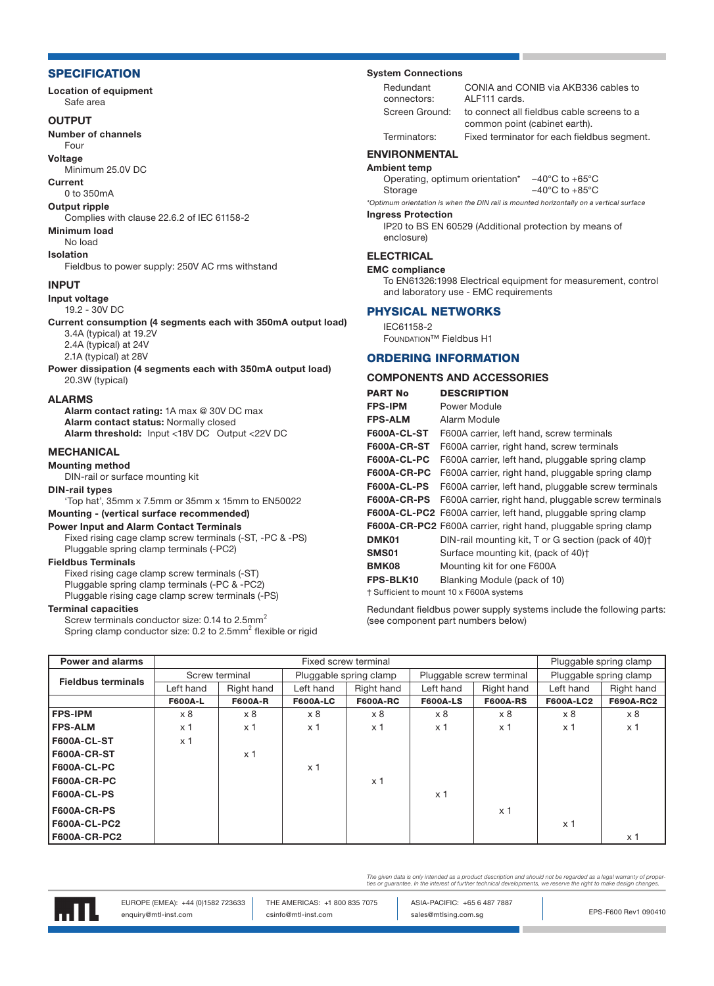#### **SPECIFICATION**

Location of equipment Safe area

#### OUTPUT

Number of channels

### Four

**Voltage** Minimum 25.0V DC

Current

0 to 350mA

#### Output ripple

Complies with clause 22.6.2 of IEC 61158-2

Minimum load

#### No load Isolation

Fieldbus to power supply: 250V AC rms withstand

#### INPUT

#### Input voltage

19.2 - 30V DC

Current consumption (4 segments each with 350mA output load) 3.4A (typical) at 19.2V 2.4A (typical) at 24V 2.1A (typical) at 28V

Power dissipation (4 segments each with 350mA output load) 20.3W (typical)

#### ALARMS

Alarm contact rating: 1A max @ 30V DC max Alarm contact status: Normally closed Alarm threshold: Input <18V DC Output <22V DC

#### **MECHANICAL**

#### Mounting method

DIN-rail or surface mounting kit

DIN-rail types

'Top hat', 35mm x 7.5mm or 35mm x 15mm to EN50022

### Mounting - (vertical surface recommended)

Power Input and Alarm Contact Terminals Fixed rising cage clamp screw terminals (-ST, -PC & -PS) Pluggable spring clamp terminals (-PC2)

#### Fieldbus Terminals

Fixed rising cage clamp screw terminals (-ST) Pluggable spring clamp terminals (-PC & -PC2) Pluggable rising cage clamp screw terminals (-PS)

#### Terminal capacities

Screw terminals conductor size: 0.14 to 2.5mm<sup>2</sup> Spring clamp conductor size: 0.2 to 2.5mm<sup>2</sup> flexible or rigid

#### System Connections

Redundant connectors: CONIA and CONIB via AKB336 cables to

ALF111 cards. Screen Ground: to connect all fieldbus cable screens to a common point (cabinet earth).

Terminators: Fixed terminator for each fieldbus segment.

#### ENVIRONMENTAL

#### Ambient temp

Operating, optimum orientation\* –40°C to +65°C Storage  $-40^{\circ}$ C to  $+85^{\circ}$ C

\*Optimum orientation is when the DIN rail is mounted horizontally on a vertical surface Ingress Protection

IP20 to BS EN 60529 (Additional protection by means of enclosure)

### **ELECTRICAL**

EMC compliance

To EN61326:1998 Electrical equipment for measurement, control and laboratory use - EMC requirements

#### PHYSICAL NETWORKS

IEC61158-2 Foundation™ Fieldbus H1

## ORDERING INFORMATION

#### COMPONENTS AND ACCESSORIES

| <b>PART No</b>                           | <b>DESCRIPTION</b>                                              |  |  |  |  |
|------------------------------------------|-----------------------------------------------------------------|--|--|--|--|
| <b>FPS-IPM</b>                           | Power Module                                                    |  |  |  |  |
| <b>FPS-ALM</b>                           | Alarm Module                                                    |  |  |  |  |
| <b>F600A-CL-ST</b>                       | F600A carrier, left hand, screw terminals                       |  |  |  |  |
| <b>F600A-CR-ST</b>                       | F600A carrier, right hand, screw terminals                      |  |  |  |  |
| <b>F600A-CL-PC</b>                       | F600A carrier, left hand, pluggable spring clamp                |  |  |  |  |
| F600A-CR-PC                              | F600A carrier, right hand, pluggable spring clamp               |  |  |  |  |
| <b>F600A-CL-PS</b>                       | F600A carrier, left hand, pluggable screw terminals             |  |  |  |  |
| F600A-CR-PS                              | F600A carrier, right hand, pluggable screw terminals            |  |  |  |  |
|                                          | F600A-CL-PC2 F600A carrier, left hand, pluggable spring clamp   |  |  |  |  |
|                                          | F600A-CR-PC2 F600A carrier, right hand, pluggable spring clamp  |  |  |  |  |
| DMK01                                    | DIN-rail mounting kit, T or G section (pack of 40) <sup>+</sup> |  |  |  |  |
| SMS01                                    | Surface mounting kit, (pack of 40) <sup>+</sup>                 |  |  |  |  |
| BMK08                                    | Mounting kit for one F600A                                      |  |  |  |  |
| FPS-BLK10                                | Blanking Module (pack of 10)                                    |  |  |  |  |
| † Sufficient to mount 10 x F600A systems |                                                                 |  |  |  |  |

Redundant fieldbus power supply systems include the following parts: (see component part numbers below)

| <b>Power and alarms</b>   | Fixed screw terminal |                |                        |                 |                          |                 |                        | Pluggable spring clamp |  |
|---------------------------|----------------------|----------------|------------------------|-----------------|--------------------------|-----------------|------------------------|------------------------|--|
| <b>Fieldbus terminals</b> | Screw terminal       |                | Pluggable spring clamp |                 | Pluggable screw terminal |                 | Pluggable spring clamp |                        |  |
|                           | Left hand            | Right hand     | Left hand              | Right hand      | Left hand                | Right hand      | Left hand              | Right hand             |  |
|                           | <b>F600A-L</b>       | <b>F600A-R</b> | <b>F600A-LC</b>        | <b>F600A-RC</b> | <b>F600A-LS</b>          | <b>F600A-RS</b> | <b>F600A-LC2</b>       | <b>F690A-RC2</b>       |  |
| <b>FPS-IPM</b>            | x8                   | x8             | x 8                    | x 8             | $\times 8$               | x8              | $\times 8$             | x8                     |  |
| <b>FPS-ALM</b>            | $\times$ 1           | $\times$ 1     | x <sub>1</sub>         | $\times$ 1      | x <sub>1</sub>           | $\times$ 1      | x 1                    | x 1                    |  |
| F600A-CL-ST               | $\times$ 1           |                |                        |                 |                          |                 |                        |                        |  |
| F600A-CR-ST               |                      | $\times$ 1     |                        |                 |                          |                 |                        |                        |  |
| F600A-CL-PC               |                      |                | x <sub>1</sub>         |                 |                          |                 |                        |                        |  |
| F600A-CR-PC               |                      |                |                        | $\times$ 1      |                          |                 |                        |                        |  |
| F600A-CL-PS               |                      |                |                        |                 | x <sub>1</sub>           |                 |                        |                        |  |
| F600A-CR-PS               |                      |                |                        |                 |                          | $\times$ 1      |                        |                        |  |
| F600A-CL-PC2              |                      |                |                        |                 |                          |                 | $\times$ 1             |                        |  |
| F600A-CR-PC2              |                      |                |                        |                 |                          |                 |                        | x 1                    |  |

The given data is only intended as a product description and should not be regarded as a legal warranty of proper<br>ties or guarantee. In the interest of further technical developments, we reserve the right to make design ch